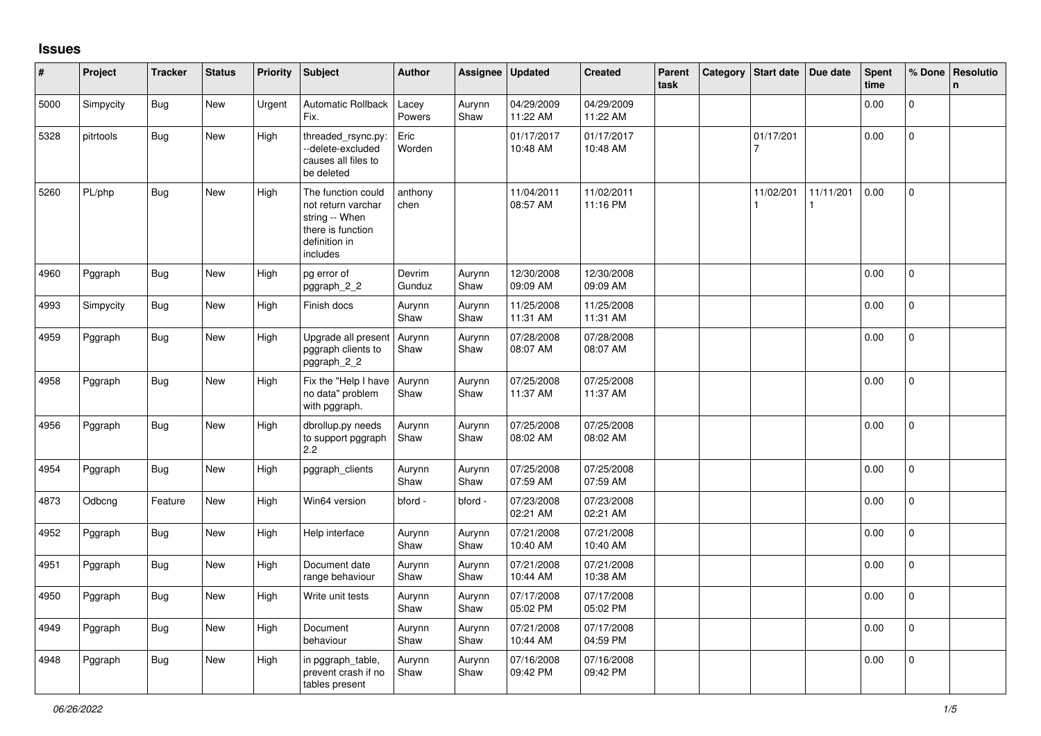## **Issues**

| #    | Project   | <b>Tracker</b> | <b>Status</b> | Priority | Subject                                                                                                      | <b>Author</b>    | Assignee       | <b>Updated</b>         | <b>Created</b>         | Parent<br>task | Category   Start date   Due date |           | Spent<br>time | % Done         | Resolutio<br>$\mathbf{n}$ |
|------|-----------|----------------|---------------|----------|--------------------------------------------------------------------------------------------------------------|------------------|----------------|------------------------|------------------------|----------------|----------------------------------|-----------|---------------|----------------|---------------------------|
| 5000 | Simpycity | Bug            | New           | Urgent   | <b>Automatic Rollback</b><br>Fix.                                                                            | Lacey<br>Powers  | Aurynn<br>Shaw | 04/29/2009<br>11:22 AM | 04/29/2009<br>11:22 AM |                |                                  |           | 0.00          | $\Omega$       |                           |
| 5328 | pitrtools | <b>Bug</b>     | New           | High     | threaded_rsync.py:<br>--delete-excluded<br>causes all files to<br>be deleted                                 | Eric<br>Worden   |                | 01/17/2017<br>10:48 AM | 01/17/2017<br>10:48 AM |                | 01/17/201<br>7                   |           | 0.00          | $\mathbf 0$    |                           |
| 5260 | PL/php    | <b>Bug</b>     | <b>New</b>    | High     | The function could<br>not return varchar<br>string -- When<br>there is function<br>definition in<br>includes | anthony<br>chen  |                | 11/04/2011<br>08:57 AM | 11/02/2011<br>11:16 PM |                | 11/02/201                        | 11/11/201 | 0.00          | $\mathbf{0}$   |                           |
| 4960 | Pggraph   | Bug            | New           | High     | pg error of<br>pggraph_2_2                                                                                   | Devrim<br>Gunduz | Aurynn<br>Shaw | 12/30/2008<br>09:09 AM | 12/30/2008<br>09:09 AM |                |                                  |           | 0.00          | $\mathsf{O}$   |                           |
| 4993 | Simpycity | <b>Bug</b>     | New           | High     | Finish docs                                                                                                  | Aurynn<br>Shaw   | Aurynn<br>Shaw | 11/25/2008<br>11:31 AM | 11/25/2008<br>11:31 AM |                |                                  |           | 0.00          | $\mathbf 0$    |                           |
| 4959 | Pggraph   | Bug            | New           | High     | Upgrade all present<br>pggraph clients to<br>pggraph_2_2                                                     | Aurynn<br>Shaw   | Aurynn<br>Shaw | 07/28/2008<br>08:07 AM | 07/28/2008<br>08:07 AM |                |                                  |           | 0.00          | $\mathbf 0$    |                           |
| 4958 | Pggraph   | Bug            | New           | High     | Fix the "Help I have<br>no data" problem<br>with pggraph.                                                    | Aurynn<br>Shaw   | Aurynn<br>Shaw | 07/25/2008<br>11:37 AM | 07/25/2008<br>11:37 AM |                |                                  |           | 0.00          | $\mathbf 0$    |                           |
| 4956 | Pggraph   | <b>Bug</b>     | <b>New</b>    | High     | dbrollup.py needs<br>to support pggraph<br>2.2                                                               | Aurynn<br>Shaw   | Aurynn<br>Shaw | 07/25/2008<br>08:02 AM | 07/25/2008<br>08:02 AM |                |                                  |           | 0.00          | $\Omega$       |                           |
| 4954 | Pggraph   | <b>Bug</b>     | New           | High     | pggraph_clients                                                                                              | Aurynn<br>Shaw   | Aurynn<br>Shaw | 07/25/2008<br>07:59 AM | 07/25/2008<br>07:59 AM |                |                                  |           | 0.00          | $\mathbf 0$    |                           |
| 4873 | Odbcng    | Feature        | New           | High     | Win64 version                                                                                                | bford -          | bford -        | 07/23/2008<br>02:21 AM | 07/23/2008<br>02:21 AM |                |                                  |           | 0.00          | $\mathbf 0$    |                           |
| 4952 | Pggraph   | <b>Bug</b>     | New           | High     | Help interface                                                                                               | Aurynn<br>Shaw   | Aurynn<br>Shaw | 07/21/2008<br>10:40 AM | 07/21/2008<br>10:40 AM |                |                                  |           | 0.00          | $\mathbf 0$    |                           |
| 4951 | Pggraph   | <b>Bug</b>     | New           | High     | Document date<br>range behaviour                                                                             | Aurynn<br>Shaw   | Aurynn<br>Shaw | 07/21/2008<br>10:44 AM | 07/21/2008<br>10:38 AM |                |                                  |           | 0.00          | $\mathbf 0$    |                           |
| 4950 | Pggraph   | <b>Bug</b>     | <b>New</b>    | High     | Write unit tests                                                                                             | Aurynn<br>Shaw   | Aurynn<br>Shaw | 07/17/2008<br>05:02 PM | 07/17/2008<br>05:02 PM |                |                                  |           | 0.00          | $\mathbf 0$    |                           |
| 4949 | Pggraph   | <b>Bug</b>     | <b>New</b>    | High     | Document<br>behaviour                                                                                        | Aurynn<br>Shaw   | Aurynn<br>Shaw | 07/21/2008<br>10:44 AM | 07/17/2008<br>04:59 PM |                |                                  |           | 0.00          | $\overline{0}$ |                           |
| 4948 | Pggraph   | <b>Bug</b>     | <b>New</b>    | High     | in pggraph_table,<br>prevent crash if no<br>tables present                                                   | Aurynn<br>Shaw   | Aurynn<br>Shaw | 07/16/2008<br>09:42 PM | 07/16/2008<br>09:42 PM |                |                                  |           | 0.00          | $\Omega$       |                           |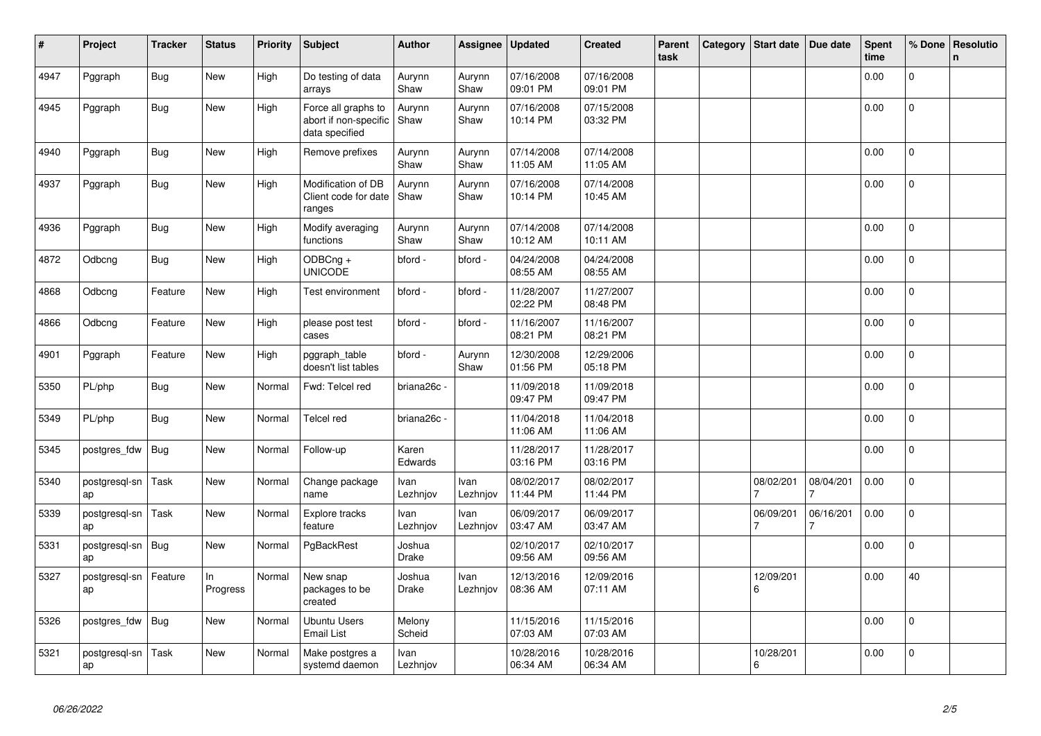| #    | Project             | <b>Tracker</b> | <b>Status</b>  | <b>Priority</b> | <b>Subject</b>                                                 | <b>Author</b>          | Assignee         | <b>Updated</b>         | <b>Created</b>         | Parent<br>task | Category | <b>Start date</b> | Due date  | <b>Spent</b><br>time | % Done         | Resolutio<br>$\mathsf{n}$ |
|------|---------------------|----------------|----------------|-----------------|----------------------------------------------------------------|------------------------|------------------|------------------------|------------------------|----------------|----------|-------------------|-----------|----------------------|----------------|---------------------------|
| 4947 | Pggraph             | <b>Bug</b>     | <b>New</b>     | High            | Do testing of data<br>arrays                                   | Aurynn<br>Shaw         | Aurynn<br>Shaw   | 07/16/2008<br>09:01 PM | 07/16/2008<br>09:01 PM |                |          |                   |           | 0.00                 | $\mathbf 0$    |                           |
| 4945 | Pggraph             | Bug            | <b>New</b>     | High            | Force all graphs to<br>abort if non-specific<br>data specified | Aurynn<br>Shaw         | Aurynn<br>Shaw   | 07/16/2008<br>10:14 PM | 07/15/2008<br>03:32 PM |                |          |                   |           | 0.00                 | 0              |                           |
| 4940 | Pggraph             | Bug            | <b>New</b>     | High            | Remove prefixes                                                | Aurynn<br>Shaw         | Aurynn<br>Shaw   | 07/14/2008<br>11:05 AM | 07/14/2008<br>11:05 AM |                |          |                   |           | 0.00                 | $\mathbf{0}$   |                           |
| 4937 | Pggraph             | Bug            | New            | High            | Modification of DB<br>Client code for date<br>ranges           | Aurynn<br>Shaw         | Aurynn<br>Shaw   | 07/16/2008<br>10:14 PM | 07/14/2008<br>10:45 AM |                |          |                   |           | 0.00                 | $\mathbf 0$    |                           |
| 4936 | Pggraph             | Bug            | <b>New</b>     | High            | Modify averaging<br>functions                                  | Aurynn<br>Shaw         | Aurynn<br>Shaw   | 07/14/2008<br>10:12 AM | 07/14/2008<br>10:11 AM |                |          |                   |           | 0.00                 | $\mathbf 0$    |                           |
| 4872 | Odbcng              | <b>Bug</b>     | New            | High            | ODBCng +<br><b>UNICODE</b>                                     | bford -                | bford -          | 04/24/2008<br>08:55 AM | 04/24/2008<br>08:55 AM |                |          |                   |           | 0.00                 | 0              |                           |
| 4868 | Odbcng              | Feature        | New            | High            | Test environment                                               | bford -                | bford -          | 11/28/2007<br>02:22 PM | 11/27/2007<br>08:48 PM |                |          |                   |           | 0.00                 | $\overline{0}$ |                           |
| 4866 | Odbcng              | Feature        | New            | High            | please post test<br>cases                                      | bford -                | bford -          | 11/16/2007<br>08:21 PM | 11/16/2007<br>08:21 PM |                |          |                   |           | 0.00                 | $\mathbf 0$    |                           |
| 4901 | Pggraph             | Feature        | New            | High            | pggraph_table<br>doesn't list tables                           | bford -                | Aurynn<br>Shaw   | 12/30/2008<br>01:56 PM | 12/29/2006<br>05:18 PM |                |          |                   |           | 0.00                 | $\overline{0}$ |                           |
| 5350 | PL/php              | Bug            | <b>New</b>     | Normal          | Fwd: Telcel red                                                | briana26c -            |                  | 11/09/2018<br>09:47 PM | 11/09/2018<br>09:47 PM |                |          |                   |           | 0.00                 | $\Omega$       |                           |
| 5349 | PL/php              | Bug            | New            | Normal          | Telcel red                                                     | briana26c -            |                  | 11/04/2018<br>11:06 AM | 11/04/2018<br>11:06 AM |                |          |                   |           | 0.00                 | $\mathbf 0$    |                           |
| 5345 | postgres fdw        | Bug            | New            | Normal          | Follow-up                                                      | Karen<br>Edwards       |                  | 11/28/2017<br>03:16 PM | 11/28/2017<br>03:16 PM |                |          |                   |           | 0.00                 | 0              |                           |
| 5340 | postgresgl-sn<br>ap | Task           | New            | Normal          | Change package<br>name                                         | Ivan<br>Lezhnjov       | Ivan<br>Lezhnjov | 08/02/2017<br>11:44 PM | 08/02/2017<br>11:44 PM |                |          | 08/02/201         | 08/04/201 | 0.00                 | $\mathbf{0}$   |                           |
| 5339 | postgresql-sn<br>ap | Task           | <b>New</b>     | Normal          | Explore tracks<br>feature                                      | Ivan<br>Lezhnjov       | Ivan<br>Lezhnjov | 06/09/2017<br>03:47 AM | 06/09/2017<br>03:47 AM |                |          | 06/09/201         | 06/16/201 | 0.00                 | $\Omega$       |                           |
| 5331 | postgresgl-sn<br>ap | Bug            | New            | Normal          | PgBackRest                                                     | Joshua<br><b>Drake</b> |                  | 02/10/2017<br>09:56 AM | 02/10/2017<br>09:56 AM |                |          |                   |           | 0.00                 | $\mathbf 0$    |                           |
| 5327 | postgresql-sn<br>ap | Feature        | In<br>Progress | Normal          | New snap<br>packages to be<br>created                          | Joshua<br>Drake        | Ivan<br>Lezhnjov | 12/13/2016<br>08:36 AM | 12/09/2016<br>07:11 AM |                |          | 12/09/201<br>6    |           | 0.00                 | 40             |                           |
| 5326 | postgres fdw        | Bug            | New            | Normal          | Ubuntu Users<br>Email List                                     | Melony<br>Scheid       |                  | 11/15/2016<br>07:03 AM | 11/15/2016<br>07:03 AM |                |          |                   |           | 0.00                 | $\mathbf 0$    |                           |
| 5321 | postgresgl-sn<br>ap | Task           | New            | Normal          | Make postgres a<br>systemd daemon                              | Ivan<br>Lezhnjov       |                  | 10/28/2016<br>06:34 AM | 10/28/2016<br>06:34 AM |                |          | 10/28/201<br>6    |           | 0.00                 | $\overline{0}$ |                           |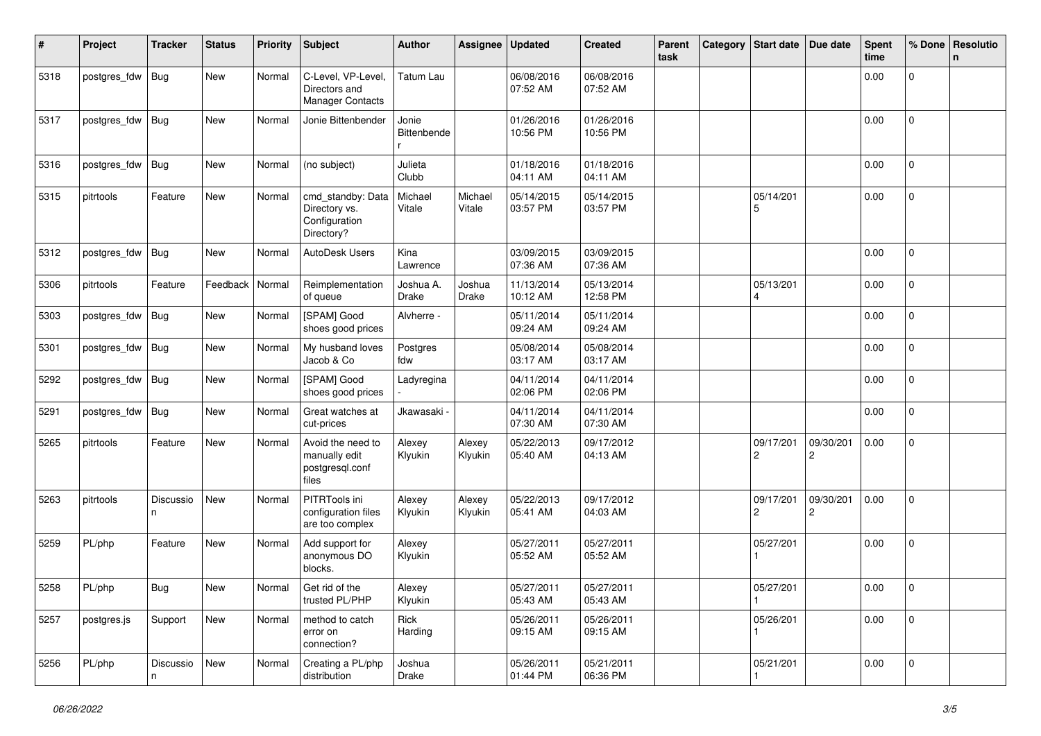| #    | Project      | <b>Tracker</b> | <b>Status</b>     | <b>Priority</b> | <b>Subject</b>                                                    | <b>Author</b>             | Assignee          | <b>Updated</b>         | <b>Created</b>         | Parent<br>task | Category | <b>Start date</b>           | Due date       | <b>Spent</b><br>time | % Done         | Resolutio<br>n |
|------|--------------|----------------|-------------------|-----------------|-------------------------------------------------------------------|---------------------------|-------------------|------------------------|------------------------|----------------|----------|-----------------------------|----------------|----------------------|----------------|----------------|
| 5318 | postgres_fdw | <b>Bug</b>     | New               | Normal          | C-Level, VP-Level,<br>Directors and<br>Manager Contacts           | <b>Tatum Lau</b>          |                   | 06/08/2016<br>07:52 AM | 06/08/2016<br>07:52 AM |                |          |                             |                | 0.00                 | $\mathsf 0$    |                |
| 5317 | postgres_fdw | <b>Bug</b>     | New               | Normal          | Jonie Bittenbender                                                | Jonie<br>Bittenbende      |                   | 01/26/2016<br>10:56 PM | 01/26/2016<br>10:56 PM |                |          |                             |                | 0.00                 | $\mathbf 0$    |                |
| 5316 | postgres_fdw | <b>Bug</b>     | New               | Normal          | (no subject)                                                      | Julieta<br>Clubb          |                   | 01/18/2016<br>04:11 AM | 01/18/2016<br>04:11 AM |                |          |                             |                | 0.00                 | $\mathbf{0}$   |                |
| 5315 | pitrtools    | Feature        | New               | Normal          | cmd_standby: Data<br>Directory vs.<br>Configuration<br>Directory? | Michael<br>Vitale         | Michael<br>Vitale | 05/14/2015<br>03:57 PM | 05/14/2015<br>03:57 PM |                |          | 05/14/201<br>5              |                | 0.00                 | $\mathbf 0$    |                |
| 5312 | postgres_fdw | <b>Bug</b>     | New               | Normal          | AutoDesk Users                                                    | Kina<br>Lawrence          |                   | 03/09/2015<br>07:36 AM | 03/09/2015<br>07:36 AM |                |          |                             |                | 0.00                 | $\mathbf 0$    |                |
| 5306 | pitrtools    | Feature        | Feedback   Normal |                 | Reimplementation<br>of queue                                      | Joshua A.<br><b>Drake</b> | Joshua<br>Drake   | 11/13/2014<br>10:12 AM | 05/13/2014<br>12:58 PM |                |          | 05/13/201                   |                | 0.00                 | $\mathbf 0$    |                |
| 5303 | postgres_fdw | <b>Bug</b>     | New               | Normal          | [SPAM] Good<br>shoes good prices                                  | Alvherre -                |                   | 05/11/2014<br>09:24 AM | 05/11/2014<br>09:24 AM |                |          |                             |                | 0.00                 | $\mathbf 0$    |                |
| 5301 | postgres_fdw | <b>Bug</b>     | New               | Normal          | My husband loves<br>Jacob & Co                                    | Postgres<br>fdw           |                   | 05/08/2014<br>03:17 AM | 05/08/2014<br>03:17 AM |                |          |                             |                | 0.00                 | 0              |                |
| 5292 | postgres_fdw | <b>Bug</b>     | New               | Normal          | [SPAM] Good<br>shoes good prices                                  | Ladyregina                |                   | 04/11/2014<br>02:06 PM | 04/11/2014<br>02:06 PM |                |          |                             |                | 0.00                 | $\mathbf 0$    |                |
| 5291 | postgres_fdw | Bug            | New               | Normal          | Great watches at<br>cut-prices                                    | Jkawasaki -               |                   | 04/11/2014<br>07:30 AM | 04/11/2014<br>07:30 AM |                |          |                             |                | 0.00                 | $\mathbf 0$    |                |
| 5265 | pitrtools    | Feature        | New               | Normal          | Avoid the need to<br>manually edit<br>postgresql.conf<br>files    | Alexey<br>Klyukin         | Alexey<br>Klyukin | 05/22/2013<br>05:40 AM | 09/17/2012<br>04:13 AM |                |          | 09/17/201<br>2              | 09/30/201<br>2 | 0.00                 | $\mathbf 0$    |                |
| 5263 | pitrtools    | Discussio<br>n | New               | Normal          | PITRTools ini<br>configuration files<br>are too complex           | Alexey<br>Klyukin         | Alexey<br>Klyukin | 05/22/2013<br>05:41 AM | 09/17/2012<br>04:03 AM |                |          | 09/17/201<br>$\overline{c}$ | 09/30/201<br>2 | 0.00                 | $\mathbf{0}$   |                |
| 5259 | PL/php       | Feature        | New               | Normal          | Add support for<br>anonymous DO<br>blocks.                        | Alexey<br>Klyukin         |                   | 05/27/2011<br>05:52 AM | 05/27/2011<br>05:52 AM |                |          | 05/27/201                   |                | 0.00                 | $\mathbf 0$    |                |
| 5258 | PL/php       | <b>Bug</b>     | New               | Normal          | Get rid of the<br>trusted PL/PHP                                  | Alexey<br>Klyukin         |                   | 05/27/2011<br>05:43 AM | 05/27/2011<br>05:43 AM |                |          | 05/27/201                   |                | $0.00\,$             | 0              |                |
| 5257 | postgres.js  | Support        | New               | Normal          | method to catch<br>error on<br>connection?                        | Rick<br>Harding           |                   | 05/26/2011<br>09:15 AM | 05/26/2011<br>09:15 AM |                |          | 05/26/201                   |                | 0.00                 | $\overline{0}$ |                |
| 5256 | PL/php       | Discussio<br>n | New               | Normal          | Creating a PL/php<br>distribution                                 | Joshua<br>Drake           |                   | 05/26/2011<br>01:44 PM | 05/21/2011<br>06:36 PM |                |          | 05/21/201                   |                | 0.00                 | $\overline{0}$ |                |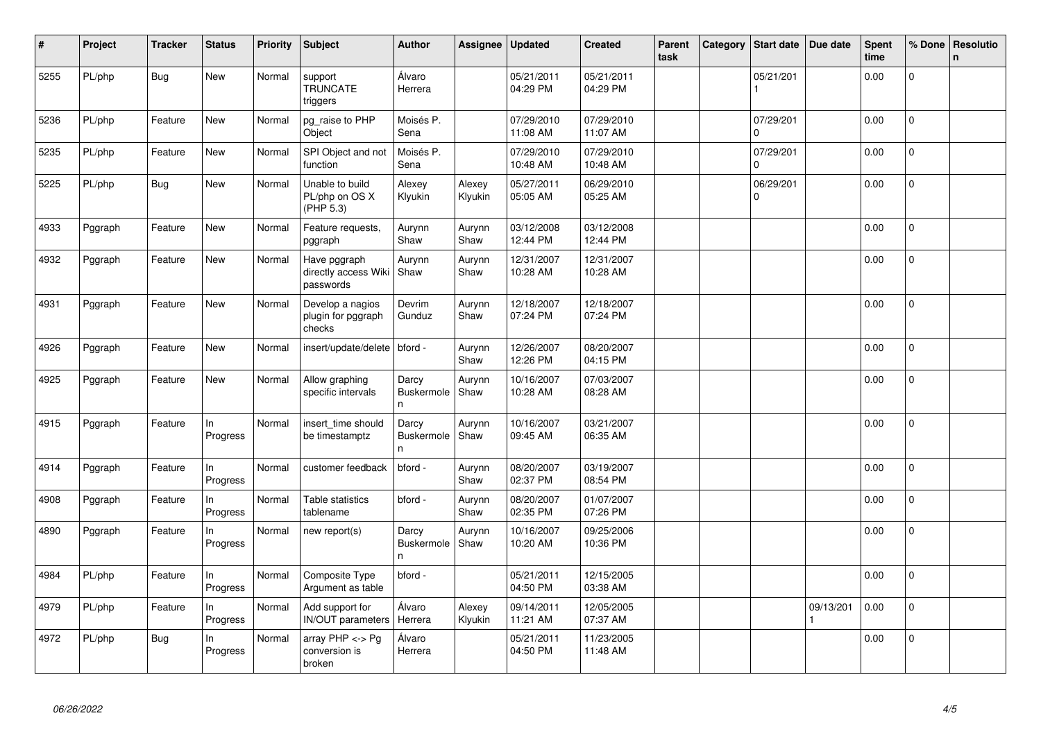| #    | Project | <b>Tracker</b> | <b>Status</b>   | Priority | Subject                                                | <b>Author</b>                   | Assignee          | <b>Updated</b>         | <b>Created</b>         | Parent<br>task | Category | <b>Start date</b>     | Due date  | <b>Spent</b><br>time | % Done         | Resolutio<br>$\mathsf{n}$ |
|------|---------|----------------|-----------------|----------|--------------------------------------------------------|---------------------------------|-------------------|------------------------|------------------------|----------------|----------|-----------------------|-----------|----------------------|----------------|---------------------------|
| 5255 | PL/php  | <b>Bug</b>     | New             | Normal   | support<br><b>TRUNCATE</b><br>triggers                 | Álvaro<br>Herrera               |                   | 05/21/2011<br>04:29 PM | 05/21/2011<br>04:29 PM |                |          | 05/21/201             |           | 0.00                 | 0              |                           |
| 5236 | PL/php  | Feature        | New             | Normal   | pg_raise to PHP<br>Object                              | Moisés P.<br>Sena               |                   | 07/29/2010<br>11:08 AM | 07/29/2010<br>11:07 AM |                |          | 07/29/201<br>$\Omega$ |           | 0.00                 | $\Omega$       |                           |
| 5235 | PL/php  | Feature        | <b>New</b>      | Normal   | SPI Object and not<br>function                         | Moisés P.<br>Sena               |                   | 07/29/2010<br>10:48 AM | 07/29/2010<br>10:48 AM |                |          | 07/29/201<br>$\Omega$ |           | 0.00                 | $\mathbf 0$    |                           |
| 5225 | PL/php  | Bug            | <b>New</b>      | Normal   | Unable to build<br>PL/php on OS X<br>(PHP 5.3)         | Alexey<br>Klyukin               | Alexey<br>Klyukin | 05/27/2011<br>05:05 AM | 06/29/2010<br>05:25 AM |                |          | 06/29/201<br>$\Omega$ |           | 0.00                 | 0              |                           |
| 4933 | Pggraph | Feature        | New             | Normal   | Feature requests,<br>pggraph                           | Aurynn<br>Shaw                  | Aurynn<br>Shaw    | 03/12/2008<br>12:44 PM | 03/12/2008<br>12:44 PM |                |          |                       |           | 0.00                 | $\pmb{0}$      |                           |
| 4932 | Pggraph | Feature        | New             | Normal   | Have pggraph<br>directly access Wiki Shaw<br>passwords | Aurynn                          | Aurynn<br>Shaw    | 12/31/2007<br>10:28 AM | 12/31/2007<br>10:28 AM |                |          |                       |           | 0.00                 | $\overline{0}$ |                           |
| 4931 | Pggraph | Feature        | <b>New</b>      | Normal   | Develop a nagios<br>plugin for pggraph<br>checks       | Devrim<br>Gunduz                | Aurynn<br>Shaw    | 12/18/2007<br>07:24 PM | 12/18/2007<br>07:24 PM |                |          |                       |           | 0.00                 | $\mathbf{0}$   |                           |
| 4926 | Pggraph | Feature        | New             | Normal   | insert/update/delete                                   | l bford -                       | Aurynn<br>Shaw    | 12/26/2007<br>12:26 PM | 08/20/2007<br>04:15 PM |                |          |                       |           | 0.00                 | $\mathbf 0$    |                           |
| 4925 | Pggraph | Feature        | New             | Normal   | Allow graphing<br>specific intervals                   | Darcy<br>Buskermole<br>n        | Aurynn<br>Shaw    | 10/16/2007<br>10:28 AM | 07/03/2007<br>08:28 AM |                |          |                       |           | 0.00                 | 0              |                           |
| 4915 | Pggraph | Feature        | In<br>Progress  | Normal   | insert_time should<br>be timestamptz                   | Darcy<br>Buskermole<br>n        | Aurynn<br>Shaw    | 10/16/2007<br>09:45 AM | 03/21/2007<br>06:35 AM |                |          |                       |           | 0.00                 | $\mathbf 0$    |                           |
| 4914 | Pggraph | Feature        | In<br>Progress  | Normal   | customer feedback                                      | bford -                         | Aurynn<br>Shaw    | 08/20/2007<br>02:37 PM | 03/19/2007<br>08:54 PM |                |          |                       |           | 0.00                 | $\mathbf{0}$   |                           |
| 4908 | Pggraph | Feature        | ln.<br>Progress | Normal   | Table statistics<br>tablename                          | bford -                         | Aurynn<br>Shaw    | 08/20/2007<br>02:35 PM | 01/07/2007<br>07:26 PM |                |          |                       |           | 0.00                 | 0              |                           |
| 4890 | Pggraph | Feature        | In<br>Progress  | Normal   | new report(s)                                          | Darcy<br><b>Buskermole</b><br>n | Aurynn<br>Shaw    | 10/16/2007<br>10:20 AM | 09/25/2006<br>10:36 PM |                |          |                       |           | 0.00                 | $\Omega$       |                           |
| 4984 | PL/php  | Feature        | ln.<br>Progress | Normal   | Composite Type<br>Argument as table                    | bford -                         |                   | 05/21/2011<br>04:50 PM | 12/15/2005<br>03:38 AM |                |          |                       |           | 0.00                 | $\mathbf{0}$   |                           |
| 4979 | PL/php  | Feature        | ln.<br>Progress | Normal   | Add support for<br><b>IN/OUT</b> parameters            | Álvaro<br>Herrera               | Alexey<br>Klyukin | 09/14/2011<br>11:21 AM | 12/05/2005<br>07:37 AM |                |          |                       | 09/13/201 | 0.00                 | $\Omega$       |                           |
| 4972 | PL/php  | <b>Bug</b>     | In<br>Progress  | Normal   | array $PHP \lt\gt P$ g<br>conversion is<br>broken      | Álvaro<br>Herrera               |                   | 05/21/2011<br>04:50 PM | 11/23/2005<br>11:48 AM |                |          |                       |           | 0.00                 | $\overline{0}$ |                           |